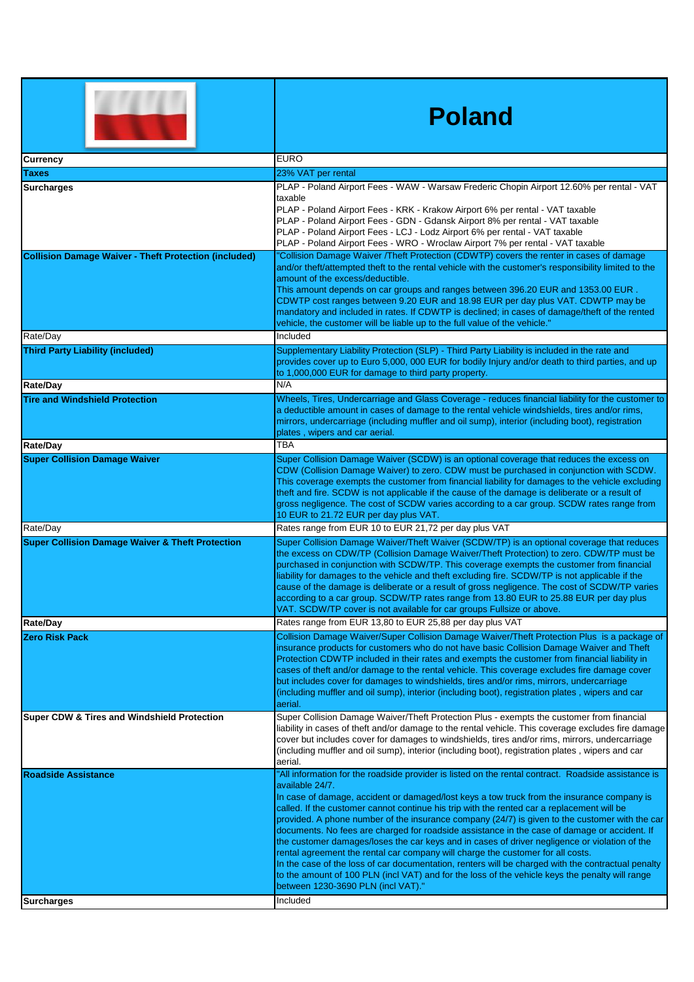|                                                              | <b>Poland</b>                                                                                                                                                                                                                                                                                                                                                                                                                                                                                                                                                                                                                                                                                                                                                                                                                                                                                                                                                       |
|--------------------------------------------------------------|---------------------------------------------------------------------------------------------------------------------------------------------------------------------------------------------------------------------------------------------------------------------------------------------------------------------------------------------------------------------------------------------------------------------------------------------------------------------------------------------------------------------------------------------------------------------------------------------------------------------------------------------------------------------------------------------------------------------------------------------------------------------------------------------------------------------------------------------------------------------------------------------------------------------------------------------------------------------|
| <b>Currency</b>                                              | <b>EURO</b>                                                                                                                                                                                                                                                                                                                                                                                                                                                                                                                                                                                                                                                                                                                                                                                                                                                                                                                                                         |
| <b>Taxes</b>                                                 | 23% VAT per rental                                                                                                                                                                                                                                                                                                                                                                                                                                                                                                                                                                                                                                                                                                                                                                                                                                                                                                                                                  |
| <b>Surcharges</b>                                            | PLAP - Poland Airport Fees - WAW - Warsaw Frederic Chopin Airport 12.60% per rental - VAT<br>taxable<br>PLAP - Poland Airport Fees - KRK - Krakow Airport 6% per rental - VAT taxable<br>PLAP - Poland Airport Fees - GDN - Gdansk Airport 8% per rental - VAT taxable<br>PLAP - Poland Airport Fees - LCJ - Lodz Airport 6% per rental - VAT taxable<br>PLAP - Poland Airport Fees - WRO - Wroclaw Airport 7% per rental - VAT taxable                                                                                                                                                                                                                                                                                                                                                                                                                                                                                                                             |
| <b>Collision Damage Waiver - Theft Protection (included)</b> | "Collision Damage Waiver /Theft Protection (CDWTP) covers the renter in cases of damage<br>and/or theft/attempted theft to the rental vehicle with the customer's responsibility limited to the<br>amount of the excess/deductible.<br>This amount depends on car groups and ranges between 396.20 EUR and 1353.00 EUR.<br>CDWTP cost ranges between 9.20 EUR and 18.98 EUR per day plus VAT. CDWTP may be<br>mandatory and included in rates. If CDWTP is declined; in cases of damage/theft of the rented<br>vehicle, the customer will be liable up to the full value of the vehicle."                                                                                                                                                                                                                                                                                                                                                                           |
| Rate/Day                                                     | Included                                                                                                                                                                                                                                                                                                                                                                                                                                                                                                                                                                                                                                                                                                                                                                                                                                                                                                                                                            |
| <b>Third Party Liability (included)</b>                      | Supplementary Liability Protection (SLP) - Third Party Liability is included in the rate and<br>provides cover up to Euro 5,000, 000 EUR for bodily Injury and/or death to third parties, and up<br>to 1,000,000 EUR for damage to third party property.                                                                                                                                                                                                                                                                                                                                                                                                                                                                                                                                                                                                                                                                                                            |
| Rate/Day                                                     | N/A                                                                                                                                                                                                                                                                                                                                                                                                                                                                                                                                                                                                                                                                                                                                                                                                                                                                                                                                                                 |
| <b>Tire and Windshield Protection</b>                        | Wheels, Tires, Undercarriage and Glass Coverage - reduces financial liability for the customer to<br>a deductible amount in cases of damage to the rental vehicle windshields, tires and/or rims,<br>mirrors, undercarriage (including muffler and oil sump), interior (including boot), registration<br>plates, wipers and car aerial.                                                                                                                                                                                                                                                                                                                                                                                                                                                                                                                                                                                                                             |
| Rate/Day                                                     | TBA                                                                                                                                                                                                                                                                                                                                                                                                                                                                                                                                                                                                                                                                                                                                                                                                                                                                                                                                                                 |
| <b>Super Collision Damage Waiver</b>                         | Super Collision Damage Waiver (SCDW) is an optional coverage that reduces the excess on<br>CDW (Collision Damage Waiver) to zero. CDW must be purchased in conjunction with SCDW.<br>This coverage exempts the customer from financial liability for damages to the vehicle excluding<br>theft and fire. SCDW is not applicable if the cause of the damage is deliberate or a result of<br>gross negligence. The cost of SCDW varies according to a car group. SCDW rates range from<br>10 EUR to 21.72 EUR per day plus VAT.                                                                                                                                                                                                                                                                                                                                                                                                                                       |
| Rate/Day                                                     | Rates range from EUR 10 to EUR 21,72 per day plus VAT                                                                                                                                                                                                                                                                                                                                                                                                                                                                                                                                                                                                                                                                                                                                                                                                                                                                                                               |
| <b>Super Collision Damage Waiver &amp; Theft Protection</b>  | Super Collision Damage Waiver/Theft Waiver (SCDW/TP) is an optional coverage that reduces<br>the excess on CDW/TP (Collision Damage Waiver/Theft Protection) to zero. CDW/TP must be<br>purchased in conjunction with SCDW/TP. This coverage exempts the customer from financial<br>liability for damages to the vehicle and theft excluding fire. SCDW/TP is not applicable if the<br>cause of the damage is deliberate or a result of gross negligence. The cost of SCDW/TP varies<br>according to a car group. SCDW/TP rates range from 13.80 EUR to 25.88 EUR per day plus<br>VAT. SCDW/TP cover is not available for car groups Fullsize or above.                                                                                                                                                                                                                                                                                                             |
| Rate/Day                                                     | Rates range from EUR 13,80 to EUR 25,88 per day plus VAT                                                                                                                                                                                                                                                                                                                                                                                                                                                                                                                                                                                                                                                                                                                                                                                                                                                                                                            |
| Zero Risk Pack                                               | Collision Damage Waiver/Super Collision Damage Waiver/Theft Protection Plus is a package of<br>insurance products for customers who do not have basic Collision Damage Waiver and Theft<br>Protection CDWTP included in their rates and exempts the customer from financial liability in<br>cases of theft and/or damage to the rental vehicle. This coverage excludes fire damage cover<br>but includes cover for damages to windshields, tires and/or rims, mirrors, undercarriage<br>(including muffler and oil sump), interior (including boot), registration plates, wipers and car<br>aerial.                                                                                                                                                                                                                                                                                                                                                                 |
| Super CDW & Tires and Windshield Protection                  | Super Collision Damage Waiver/Theft Protection Plus - exempts the customer from financial<br>liability in cases of theft and/or damage to the rental vehicle. This coverage excludes fire damage<br>cover but includes cover for damages to windshields, tires and/or rims, mirrors, undercarriage<br>(including muffler and oil sump), interior (including boot), registration plates, wipers and car<br>aerial.                                                                                                                                                                                                                                                                                                                                                                                                                                                                                                                                                   |
| <b>Roadside Assistance</b>                                   | "All information for the roadside provider is listed on the rental contract. Roadside assistance is<br>available 24/7.<br>In case of damage, accident or damaged/lost keys a tow truck from the insurance company is<br>called. If the customer cannot continue his trip with the rented car a replacement will be<br>provided. A phone number of the insurance company (24/7) is given to the customer with the car<br>documents. No fees are charged for roadside assistance in the case of damage or accident. If<br>the customer damages/loses the car keys and in cases of driver negligence or violation of the<br>rental agreement the rental car company will charge the customer for all costs.<br>In the case of the loss of car documentation, renters will be charged with the contractual penalty<br>to the amount of 100 PLN (incl VAT) and for the loss of the vehicle keys the penalty will range<br>between 1230-3690 PLN (incl VAT)."<br>Included |
| Surcharges                                                   |                                                                                                                                                                                                                                                                                                                                                                                                                                                                                                                                                                                                                                                                                                                                                                                                                                                                                                                                                                     |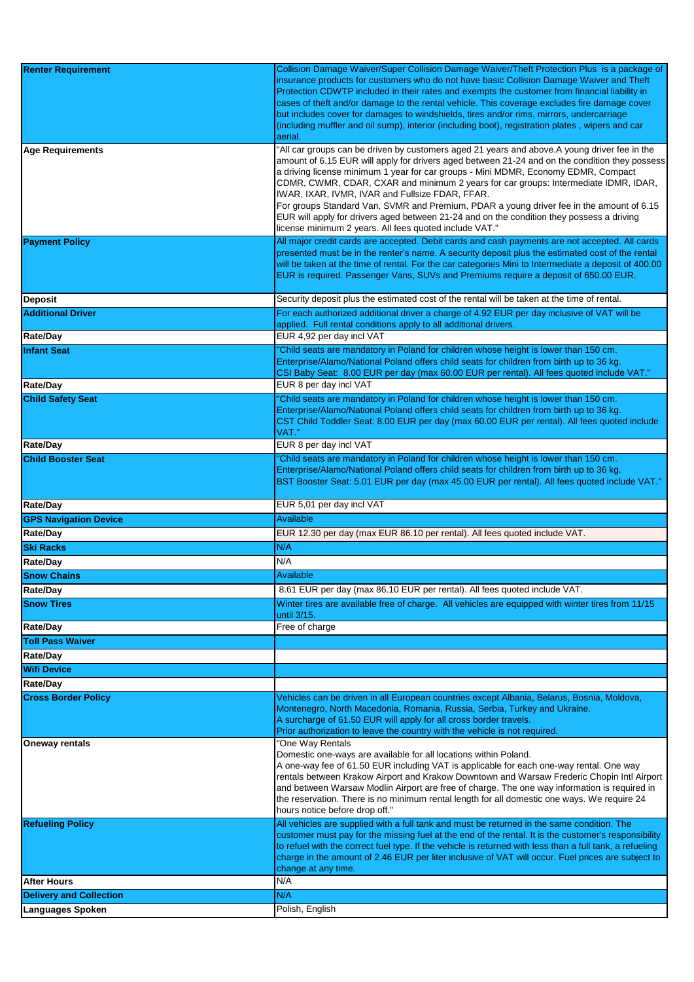| <b>Renter Requirement</b>                                 | Collision Damage Waiver/Super Collision Damage Waiver/Theft Protection Plus is a package of              |
|-----------------------------------------------------------|----------------------------------------------------------------------------------------------------------|
|                                                           | insurance products for customers who do not have basic Collision Damage Waiver and Theft                 |
|                                                           | Protection CDWTP included in their rates and exempts the customer from financial liability in            |
|                                                           | cases of theft and/or damage to the rental vehicle. This coverage excludes fire damage cover             |
|                                                           | but includes cover for damages to windshields, tires and/or rims, mirrors, undercarriage                 |
|                                                           | (including muffler and oil sump), interior (including boot), registration plates, wipers and car         |
|                                                           | aerial.                                                                                                  |
| Age Requirements                                          | "All car groups can be driven by customers aged 21 years and above.A young driver fee in the             |
|                                                           | amount of 6.15 EUR will apply for drivers aged between 21-24 and on the condition they possess           |
|                                                           | a driving license minimum 1 year for car groups - Mini MDMR, Economy EDMR, Compact                       |
|                                                           | CDMR, CWMR, CDAR, CXAR and minimum 2 years for car groups: Intermediate IDMR, IDAR,                      |
|                                                           | IWAR, IXAR, IVMR, IVAR and Fullsize FDAR, FFAR.                                                          |
|                                                           | For groups Standard Van, SVMR and Premium, PDAR a young driver fee in the amount of 6.15                 |
|                                                           | EUR will apply for drivers aged between 21-24 and on the condition they possess a driving                |
|                                                           |                                                                                                          |
|                                                           | license minimum 2 years. All fees quoted include VAT."                                                   |
| <b>Payment Policy</b>                                     | All major credit cards are accepted. Debit cards and cash payments are not accepted. All cards           |
|                                                           | presented must be in the renter's name. A security deposit plus the estimated cost of the rental         |
|                                                           | will be taken at the time of rental. For the car categories Mini to Intermediate a deposit of 400.00     |
|                                                           | EUR is required. Passenger Vans, SUVs and Premiums require a deposit of 650.00 EUR.                      |
|                                                           |                                                                                                          |
| Deposit                                                   | Security deposit plus the estimated cost of the rental will be taken at the time of rental.              |
| <b>Additional Driver</b>                                  | For each authorized additional driver a charge of 4.92 EUR per day inclusive of VAT will be              |
|                                                           | applied. Full rental conditions apply to all additional drivers.                                         |
| <b>Rate/Day</b>                                           | EUR 4,92 per day incl VAT                                                                                |
|                                                           |                                                                                                          |
| <b>Infant Seat</b>                                        | "Child seats are mandatory in Poland for children whose height is lower than 150 cm.                     |
|                                                           | Enterprise/Alamo/National Poland offers child seats for children from birth up to 36 kg.                 |
|                                                           | CSI Baby Seat: 8.00 EUR per day (max 60.00 EUR per rental). All fees quoted include VAT."                |
| <b>Rate/Day</b>                                           | EUR 8 per day incl VAT                                                                                   |
| <b>Child Safety Seat</b>                                  | "Child seats are mandatory in Poland for children whose height is lower than 150 cm.                     |
|                                                           | Enterprise/Alamo/National Poland offers child seats for children from birth up to 36 kg.                 |
|                                                           | CST Child Toddler Seat: 8.00 EUR per day (max 60.00 EUR per rental). All fees quoted include             |
|                                                           | VAT."                                                                                                    |
| <b>Rate/Day</b>                                           | EUR 8 per day incl VAT                                                                                   |
|                                                           |                                                                                                          |
| <b>Child Booster Seat</b>                                 | "Child seats are mandatory in Poland for children whose height is lower than 150 cm.                     |
|                                                           | Enterprise/Alamo/National Poland offers child seats for children from birth up to 36 kg.                 |
|                                                           | BST Booster Seat: 5.01 EUR per day (max 45.00 EUR per rental). All fees quoted include VAT."             |
|                                                           |                                                                                                          |
|                                                           |                                                                                                          |
| <b>Rate/Day</b>                                           | EUR 5,01 per day incl VAT                                                                                |
| <b>GPS Navigation Device</b>                              | Available                                                                                                |
|                                                           |                                                                                                          |
| <b>Rate/Day</b>                                           | EUR 12.30 per day (max EUR 86.10 per rental). All fees quoted include VAT.                               |
| <b>Ski Racks</b>                                          | N/A                                                                                                      |
| Rate/Day                                                  | N/A                                                                                                      |
| <b>Snow Chains</b>                                        | Available                                                                                                |
|                                                           |                                                                                                          |
| <b>Rate/Day</b>                                           | 8.61 EUR per day (max 86.10 EUR per rental). All fees quoted include VAT.                                |
| <b>Snow Tires</b>                                         | Winter tires are available free of charge. All vehicles are equipped with winter tires from 11/15        |
|                                                           | until 3/15.                                                                                              |
| <b>Rate/Day</b>                                           | Free of charge                                                                                           |
| <b>Toll Pass Waiver</b>                                   |                                                                                                          |
| Rate/Day                                                  |                                                                                                          |
|                                                           |                                                                                                          |
| <b>Wifi Device</b>                                        |                                                                                                          |
| <b>Rate/Day</b>                                           |                                                                                                          |
| <b>Cross Border Policy</b>                                | Vehicles can be driven in all European countries except Albania, Belarus, Bosnia, Moldova,               |
|                                                           | Montenegro, North Macedonia, Romania, Russia, Serbia, Turkey and Ukraine.                                |
|                                                           | A surcharge of 61.50 EUR will apply for all cross border travels.                                        |
|                                                           | Prior authorization to leave the country with the vehicle is not required.                               |
| <b>Oneway rentals</b>                                     | "One Way Rentals                                                                                         |
|                                                           | Domestic one-ways are available for all locations within Poland.                                         |
|                                                           | A one-way fee of 61.50 EUR including VAT is applicable for each one-way rental. One way                  |
|                                                           | rentals between Krakow Airport and Krakow Downtown and Warsaw Frederic Chopin Intl Airport               |
|                                                           | and between Warsaw Modlin Airport are free of charge. The one way information is required in             |
|                                                           | the reservation. There is no minimum rental length for all domestic one ways. We require 24              |
|                                                           | hours notice before drop off."                                                                           |
|                                                           |                                                                                                          |
| <b>Refueling Policy</b>                                   | All vehicles are supplied with a full tank and must be returned in the same condition. The               |
|                                                           | customer must pay for the missing fuel at the end of the rental. It is the customer's responsibility     |
|                                                           | to refuel with the correct fuel type. If the vehicle is returned with less than a full tank, a refueling |
|                                                           | charge in the amount of 2.46 EUR per liter inclusive of VAT will occur. Fuel prices are subject to       |
|                                                           | change at any time.                                                                                      |
| <b>After Hours</b>                                        | N/A                                                                                                      |
| <b>Delivery and Collection</b><br><b>Languages Spoken</b> | N/A<br>Polish, English                                                                                   |